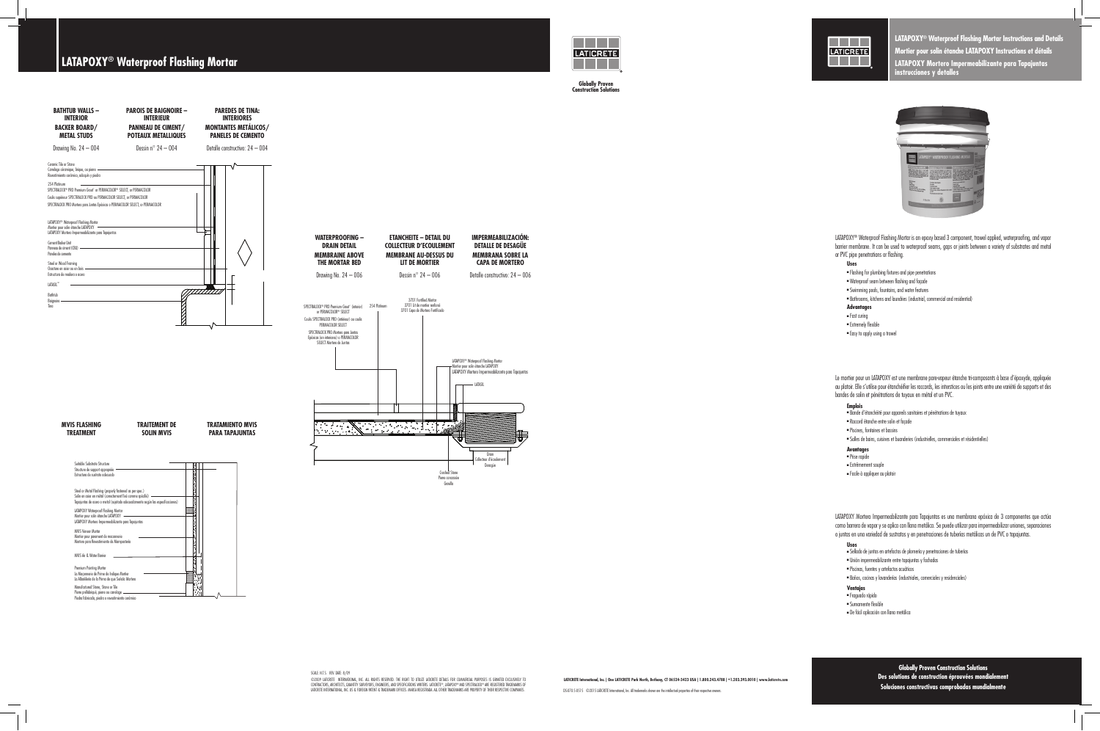**LATICRETE International, Inc. | One LATICRETE Park North, Bethany, CT 06524-3423 USA | 1.800.243.4788 | +1.203.393.0010 | www.laticrete.com**

DS-070.5-0515 ©2015 LATICRETE International, Inc. All trademarks shown are the intellectual properties of their respective owners.



SCALE: N.T.S. REV. DATE: 8/09 ©2009 LATICRETE INTERNATIONAL, INC. ALL RIGHTS RESERVED. THE RIGHT TO UTILIZE LATICRETE DETAILS FOR COMMERCIAL PURPOSES IS GRANTED EXCLUSIVELY TO CONTRACTORS, ARCHITECTS, QUANTITY SURVEYORS, ENGINEERS, AND SPECIFICATIONS WRITERS. LATICRETE®, LATAPOXY®AND SPECTRALOCK®ARE REGISTERED TRADEMARKS OF<br>LATICRETE INTERNATIONAL, INC. US & FOREIGN PATENT & TRADEMARK OFFICES.

**Globally Proven Construction Solutions** Des solutions de construction éprouvées mondial Soluciones constructivas comprobadas mundialn



# **LATAPOXY® Waterproof Flashing Mortar**



**Globally Proven Construction Solutions**

**Globally Proven Construction Solutions**

**LATAPOXY® Waterproof Flashing Mortar Instructions and Details Mortier pour solin étanche LATAPOXY Instructions et détails LATAPOXY Mortero Impermeabilizante para Tapajuntas instrucciones y detalles**



LATAPOXY® Waterproof Flashing Mortar is an epoxy based 3 component, trowel applied, waterproofing, and vapor barrier membrane. It can be used to waterproof seams, gaps or joints between a variety of substrates and metal or PVC pipe penetrations or flashing.

#### **Uses**

- <sup>n</sup> Flashing for plumbing fixtures and pipe penetrations
- <sup>n</sup> Waterproof seam between flashing and façade
- <sup>n</sup> Swimming pools, fountains, and water features
- <sup>n</sup> Bathrooms, kitchens and laundries (industrial, commercial and residential)

### **Advantages**

- $=$  Fast curing
- <sup>n</sup> Extremely flexible
- $=$  Easy to apply using a trowel

Le mortier pour un LATAPOXY est une membrane pare-vapeur étanche tri-composants à base d'époxyde, appliquée au platoir. Elle s'utilise pour étanchéifier les raccords, les interstices ou les joints entre une variété de supports et des bandes de solin et pénétrations de tuyaux en métal et un PVC.

#### **Emplois**

- <sup>n</sup> Bande d'étanchéité pour appareils sanitaires et pénétrations de tuyaux
- <sup>n</sup> Raccord étanche entre solin et façade
- <sup>n</sup> Piscines, fontaines et bassins
- <sup>n</sup> Salles de bains, cuisines et buanderies (industrielles, commerciales et résidentielles)

## **Avantages** <sup>n</sup> Prise rapide

- 
- <sup>n</sup> Extrêmement souple
- <sup>n</sup> Facile à appliquer au platoir

LATAPOXY Mortero Impermeabilizante para Tapajuntas es una membrana epóxica de 3 componentes que actúa como barrera de vapor y se aplica con llana metálica. Se puede utilizar para impermeabilizar uniones, separaciones o juntas en una variedad de sustratos y en penetraciones de tuberías metálicas un de PVC o tapajuntas.

#### **Usos**

- <sup>n</sup> Sellado de juntas en artefactos de plomería y penetraciones de tuberías
- <sup>n</sup> Unión impermeabilizante entre tapajuntas y fachadas
- <sup>n</sup> Piscinas, fuentes y artefactos acuáticos
- <sup>n</sup> Baños, cocinas y lavanderías (industriales, comerciales y residenciales)

## **Ventajas** <sup>n</sup> Fraguado rápido

- 
- <sup>n</sup> Sumamente flexible
- n De fácil aplicación con llana metálica